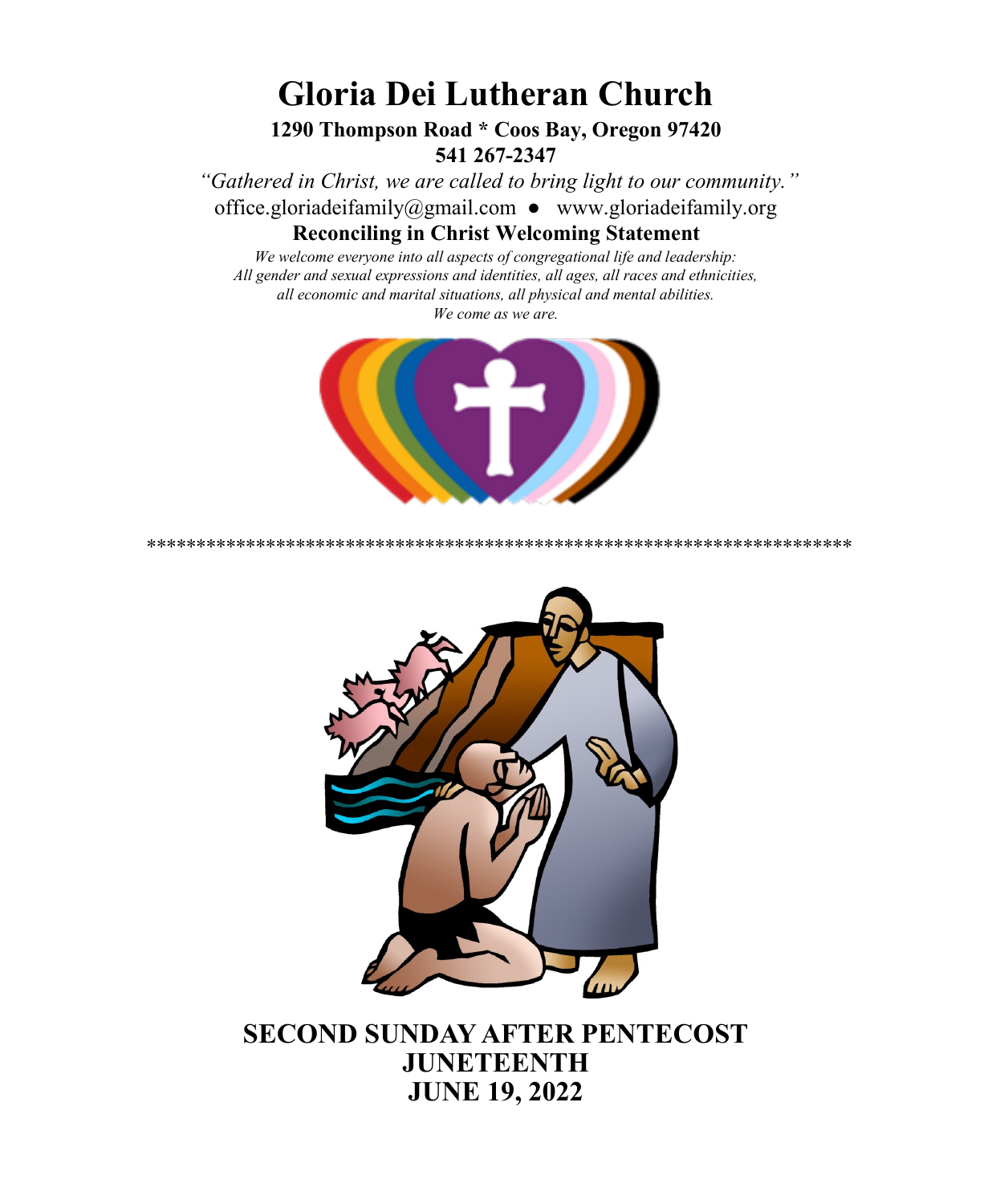# **Gloria Dei Lutheran Church**

#### **1290 Thompson Road \* Coos Bay, Oregon 97420 541 267-2347**

*"Gathered in Christ, we are called to bring light to our community."* [office.gloriadeifamily@gmail.com](about:blank) ● [www.gloriadeifamily.org](about:blank) 

#### **Reconciling in Christ Welcoming Statement**

*We welcome everyone into all aspects of congregational life and leadership: All gender and sexual expressions and identities, all ages, all races and ethnicities, all economic and marital situations, all physical and mental abilities. We come as we are.*



\*\*\*\*\*\*\*\*\*\*\*\*\*\*\*\*\*\*\*\*\*\*\*\*\*\*\*\*\*\*\*\*\*\*\*\*\*\*\*\*\*\*\*\*\*\*\*\*\*\*\*\*\*\*\*\*\*\*\*\*\*\*\*\*\*\*\*\*\*\*\*



**SECOND SUNDAY AFTER PENTECOST JUNETEENTH JUNE 19, 2022**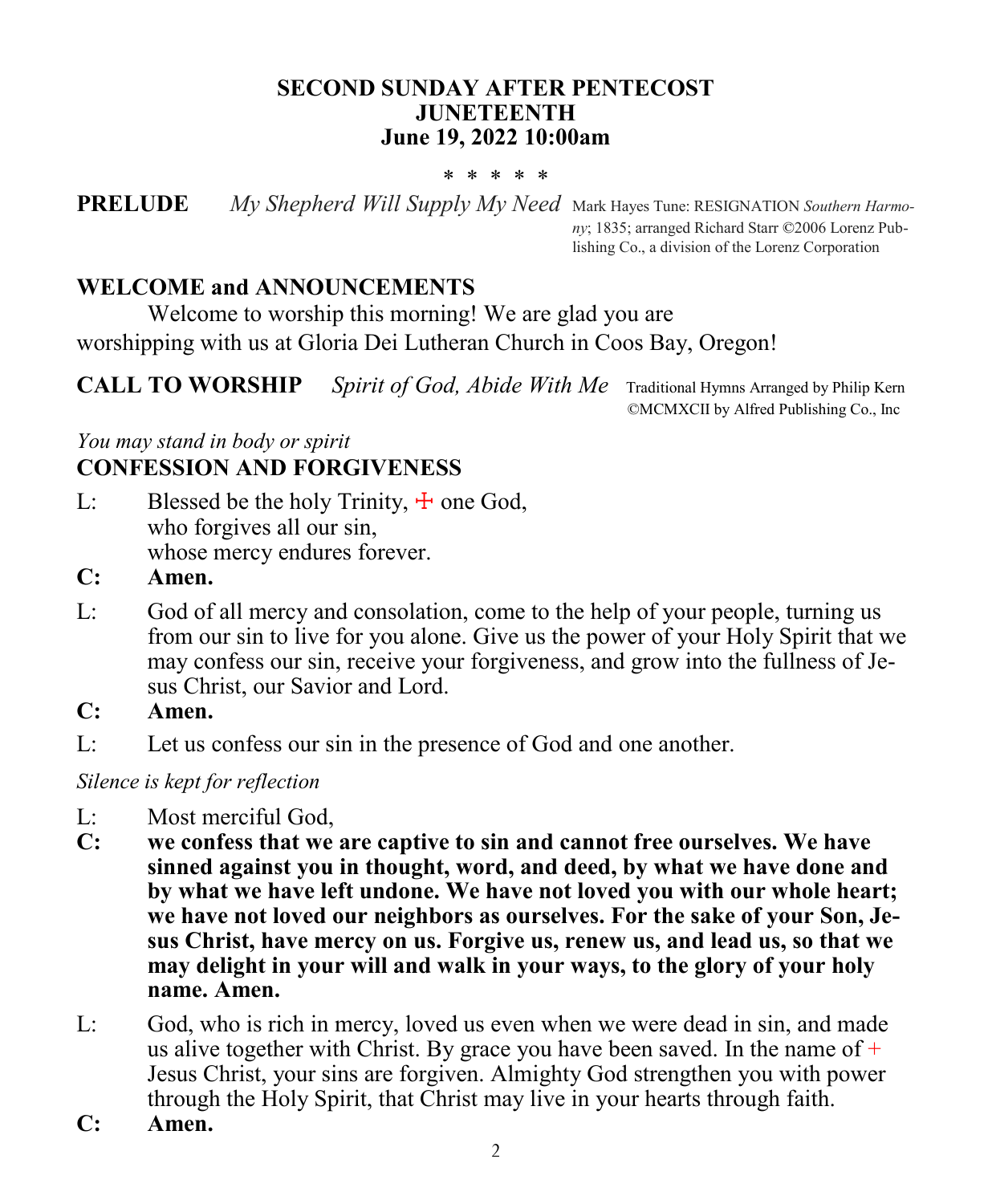#### **SECOND SUNDAY AFTER PENTECOST JUNETEENTH June 19, 2022 10:00am**

#### \* \* \* \* \*

**PRELUDE** *My Shepherd Will Supply My Need* Mark Hayes Tune: RESIGNATION *Southern Harmony*; 1835; arranged Richard Starr ©2006 Lorenz Publishing Co., a division of the Lorenz Corporation

#### **WELCOME and ANNOUNCEMENTS**

Welcome to worship this morning! We are glad you are worshipping with us at Gloria Dei Lutheran Church in Coos Bay, Oregon!

**CALL TO WORSHIP** *Spirit of God, Abide With Me* Traditional Hymns Arranged by Philip Kern

©MCMXCII by Alfred Publishing Co., Inc

#### *You may stand in body or spirit* **CONFESSION AND FORGIVENESS**

- L: Blessed be the holy Trinity,  $\pm$  one God, who forgives all our sin, whose mercy endures forever.
- **C: Amen.**
- L: God of all mercy and consolation, come to the help of your people, turning us from our sin to live for you alone. Give us the power of your Holy Spirit that we may confess our sin, receive your forgiveness, and grow into the fullness of Jesus Christ, our Savior and Lord.
- **C: Amen.**
- L: Let us confess our sin in the presence of God and one another.

*Silence is kept for reflection* 

- L: Most merciful God,
- **C: we confess that we are captive to sin and cannot free ourselves. We have sinned against you in thought, word, and deed, by what we have done and by what we have left undone. We have not loved you with our whole heart; we have not loved our neighbors as ourselves. For the sake of your Son, Jesus Christ, have mercy on us. Forgive us, renew us, and lead us, so that we may delight in your will and walk in your ways, to the glory of your holy name. Amen.**
- L: God, who is rich in mercy, loved us even when we were dead in sin, and made us alive together with Christ. By grace you have been saved. In the name of  $+$ Jesus Christ, your sins are forgiven. Almighty God strengthen you with power through the Holy Spirit, that Christ may live in your hearts through faith.
- **C: Amen.**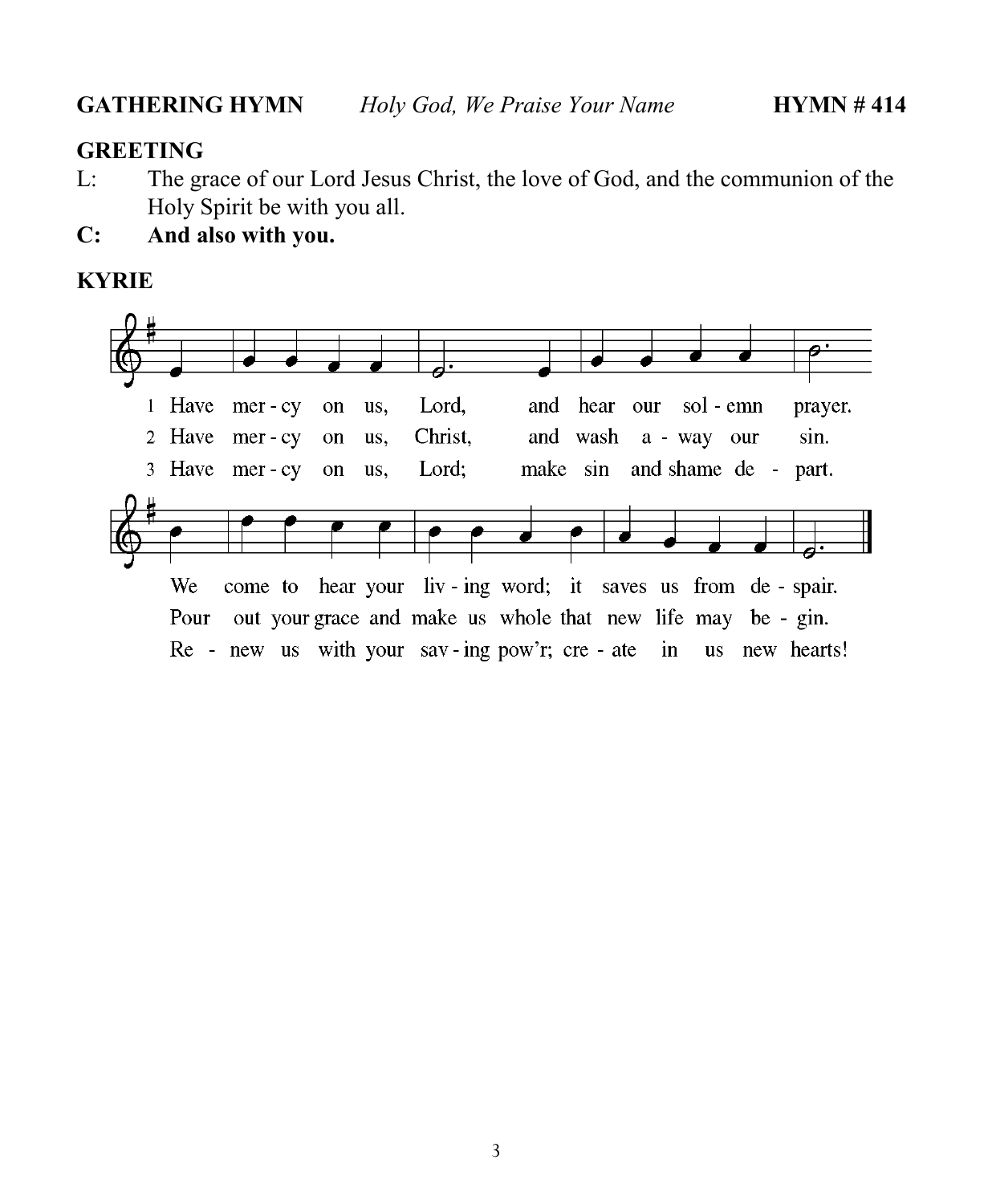#### **GREETING**

- L: The grace of our Lord Jesus Christ, the love of God, and the communion of the Holy Spirit be with you all.
- **C: And also with you.**

#### **KYRIE**

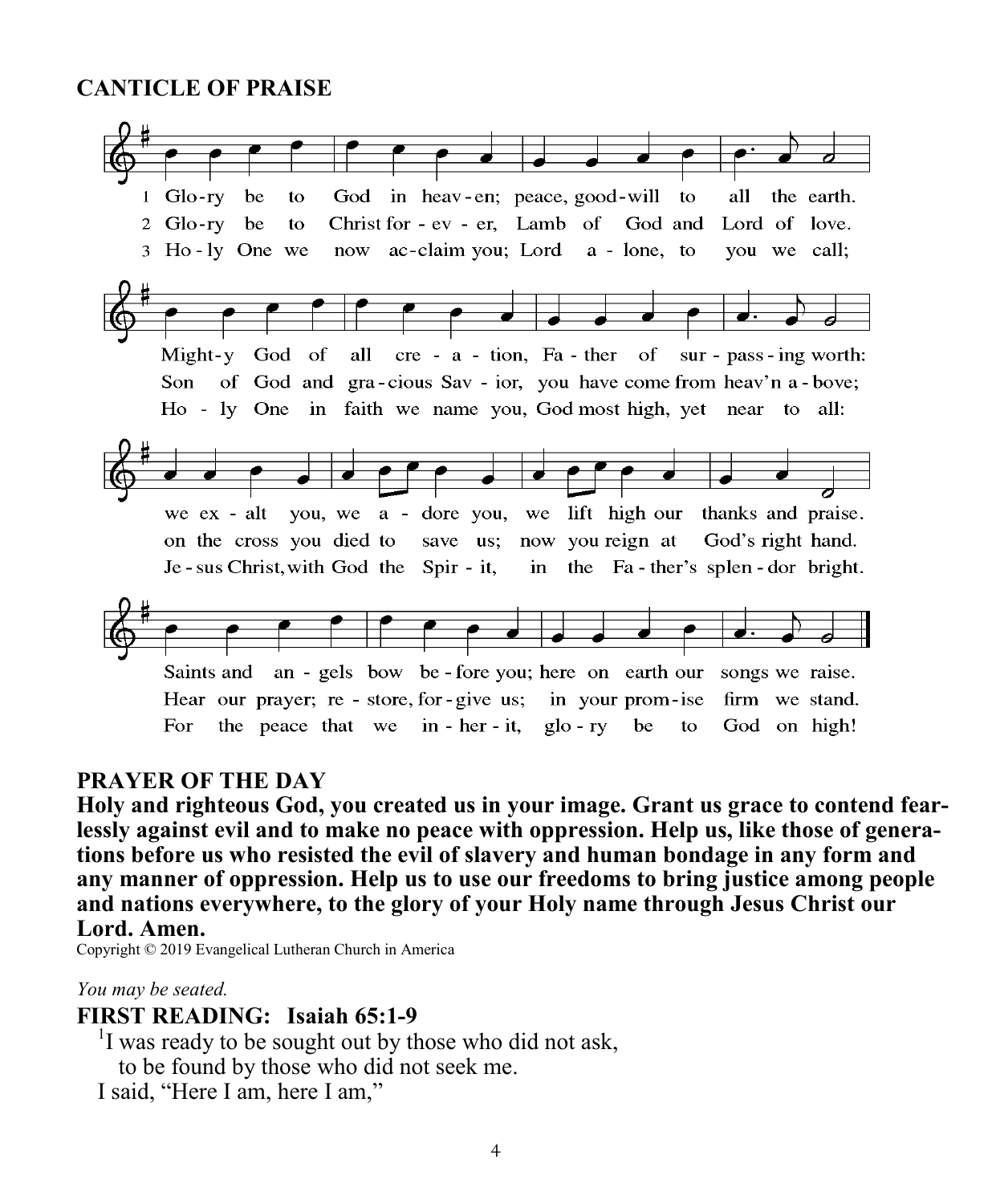#### **CANTICLE OF PRAISE**



#### **PRAYER OF THE DAY**

**Holy and righteous God, you created us in your image. Grant us grace to contend fearlessly against evil and to make no peace with oppression. Help us, like those of generations before us who resisted the evil of slavery and human bondage in any form and any manner of oppression. Help us to use our freedoms to bring justice among people and nations everywhere, to the glory of your Holy name through Jesus Christ our Lord. Amen.**

Copyright © 2019 Evangelical Lutheran Church in America

*You may be seated.*

#### **FIRST READING: Isaiah 65:1-9**

<sup>1</sup>I was ready to be sought out by those who did not ask, to be found by those who did not seek me.

I said, "Here I am, here I am,"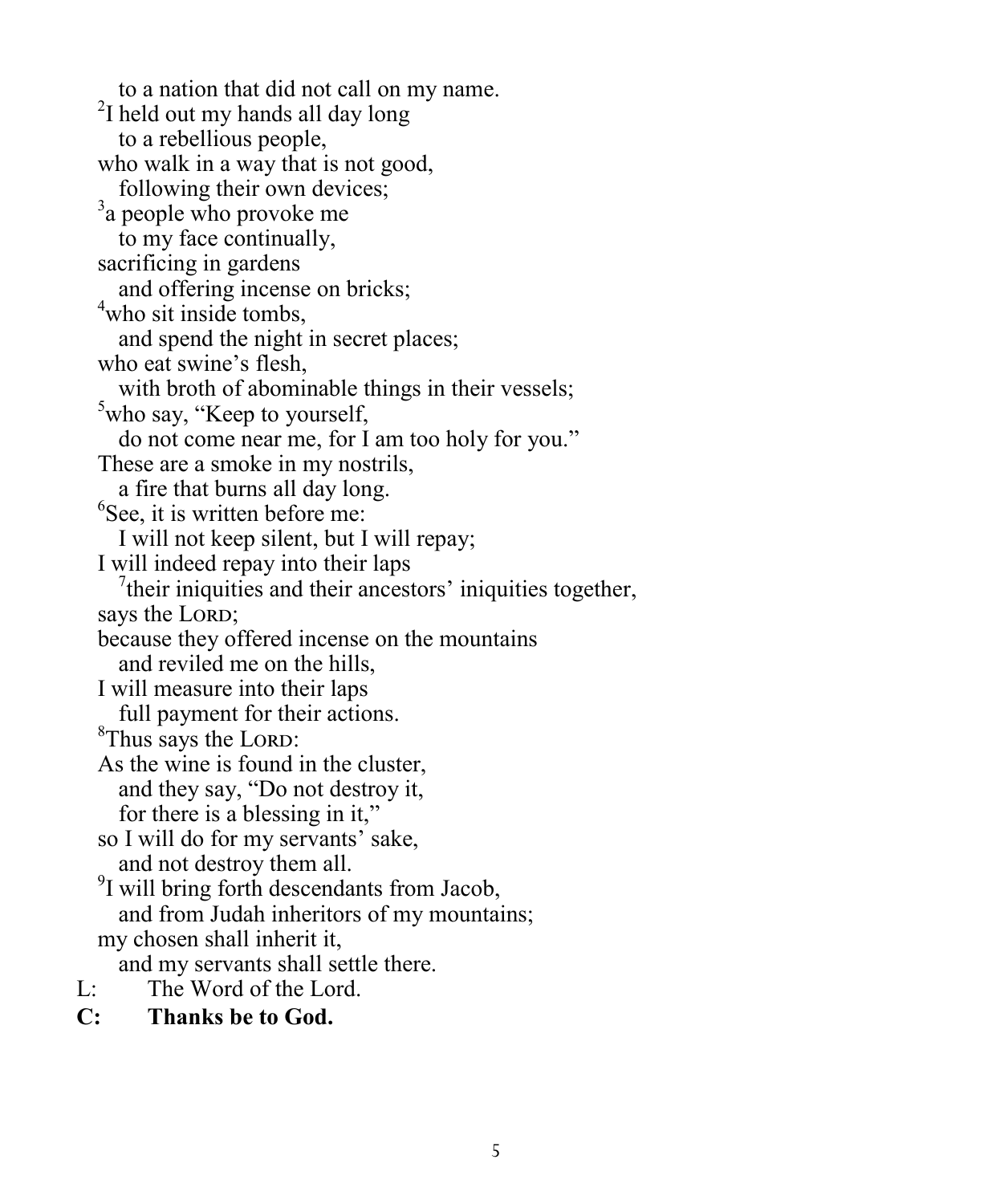to a nation that did not call on my name.  $2$ I held out my hands all day long to a rebellious people, who walk in a way that is not good, following their own devices; <sup>3</sup>a people who provoke me to my face continually, sacrificing in gardens and offering incense on bricks; <sup>4</sup>who sit inside tombs, and spend the night in secret places; who eat swine's flesh, with broth of abominable things in their vessels; <sup>5</sup>who say, "Keep to yourself, do not come near me, for I am too holy for you." These are a smoke in my nostrils, a fire that burns all day long.  ${}^{6}$ See, it is written before me: I will not keep silent, but I will repay; I will indeed repay into their laps  $7$ their iniquities and their ancestors' iniquities together, says the LORD; because they offered incense on the mountains and reviled me on the hills, I will measure into their laps full payment for their actions. <sup>8</sup>Thus says the LORD: As the wine is found in the cluster, and they say, "Do not destroy it, for there is a blessing in it," so I will do for my servants' sake, and not destroy them all. <sup>9</sup>I will bring forth descendants from Jacob, and from Judah inheritors of my mountains; my chosen shall inherit it, and my servants shall settle there. L: The Word of the Lord.

**C: Thanks be to God.**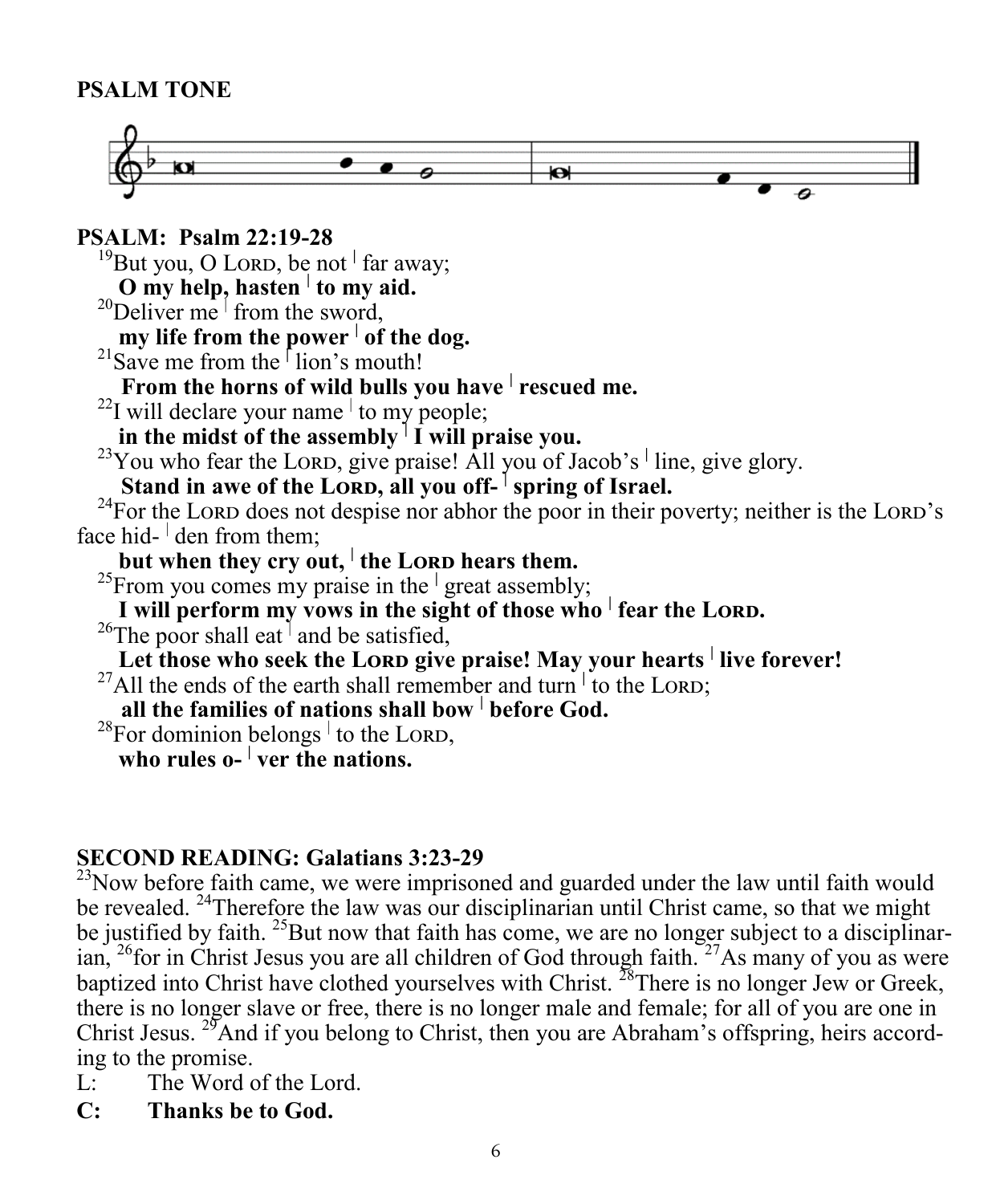#### **PSALM TONE**



**PSALM: Psalm 22:19-28** <sup>19</sup>But you, O LORD, be not <sup>|</sup> far away; **O my help, hasten <sup>|</sup> to my aid.** <sup>20</sup>Deliver me  $\frac{1}{2}$  from the sword, **my life from the power <sup>|</sup> of the dog.** <sup>21</sup>Save me from the **<sup>|</sup>** lion's mouth!  **From the horns of wild bulls you have <sup>|</sup> rescued me.**  $^{22}$ I will declare your name to my people; in the midst of the assembly  $\left| \int f w \right|$  praise you. <sup>23</sup>You who fear the LORD, give praise! All you of Jacob's <sup>|</sup> line, give glory. **Example 1** Stand in awe of the LORD, all you off-<sup>1</sup> spring of Israel. <sup>24</sup>For the Lord does not despise nor abhor the poor in their poverty; neither is the Lord's face hid- $\frac{1}{2}$  den from them; | **but when they cry out,**  $\vert$  **the LORD hears them.** <sup>25</sup>From you comes my praise in the **<sup>|</sup>** great assembly; **I** will perform my vows in the sight of those who <sup>|</sup> fear the LORD. <sup>26</sup>The poor shall eat<sup>1</sup> and be satisfied, **Let those who seek the LORD give praise! May your hearts live forever!** <sup>27</sup>All the ends of the earth shall remember and turn to the LORD;  **all the families of nations shall bow <sup>|</sup> before God.**  $^{28}$ For dominion belongs  $\frac{1}{1}$  to the LORD, **who rules o- | ver the nations.**

#### **SECOND READING: Galatians 3:23-29**

 $^{23}$ Now before faith came, we were imprisoned and guarded under the law until faith would be revealed. <sup>24</sup>Therefore the law was our disciplinarian until Christ came, so that we might be justified by faith. <sup>25</sup>But now that faith has come, we are no longer subject to a disciplinarian,  $^{26}$  for in Christ Jesus you are all children of God through faith.  $^{27}$ As many of you as were baptized into Christ have clothed yourselves with Christ.  $^{28}$ There is no longer Jew or Greek, there is no longer slave or free, there is no longer male and female; for all of you are one in Christ Jesus. <sup>29</sup>And if you belong to Christ, then you are Abraham's offspring, heirs according to the promise.

- L: The Word of the Lord.
- **C: Thanks be to God.**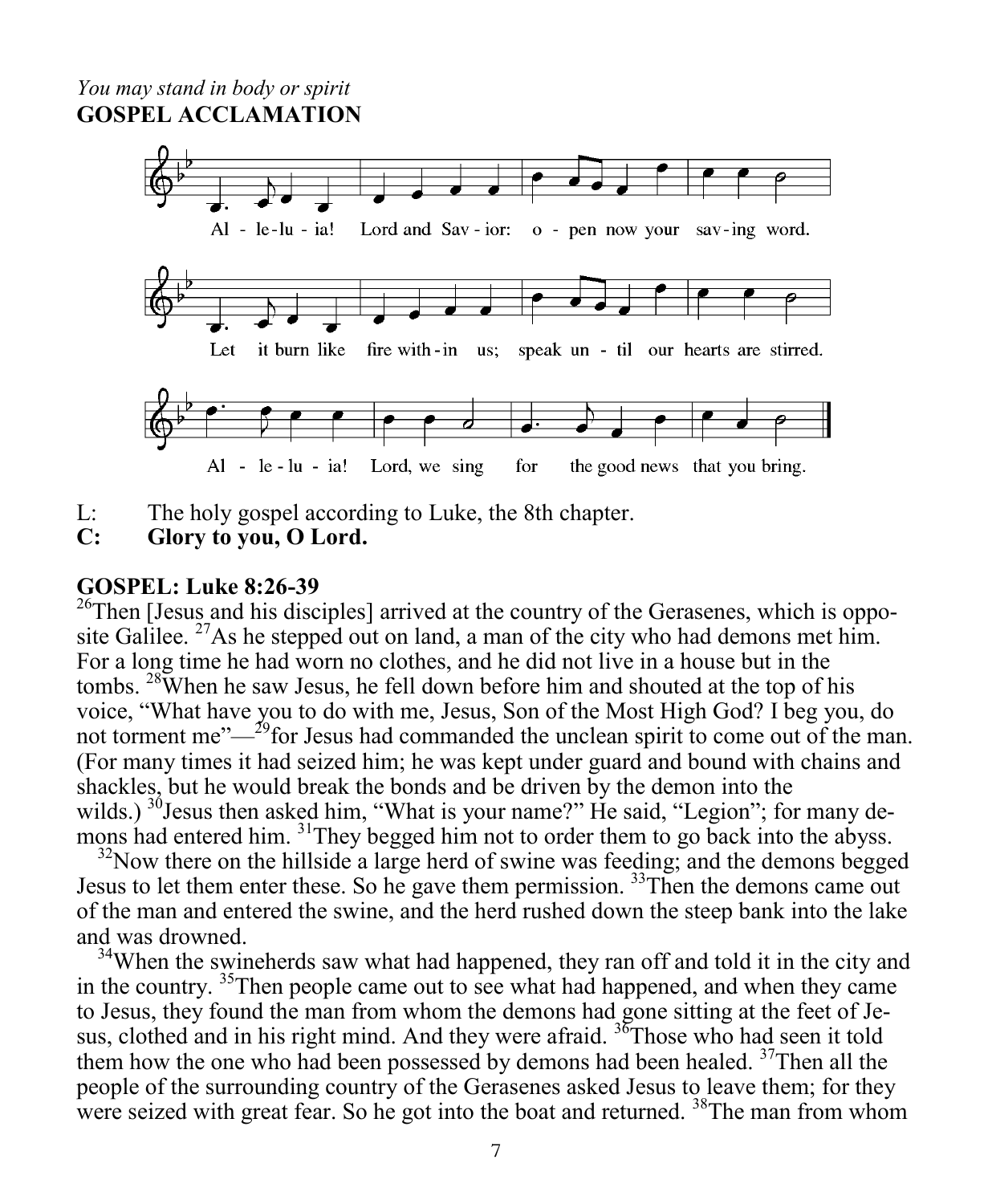#### *You may stand in body or spirit* **GOSPEL ACCLAMATION**



- L: The holy gospel according to Luke, the 8th chapter.
- **C: Glory to you, O Lord.**

#### **GOSPEL: Luke 8:26-39**

 $^{26}$ Then [Jesus and his disciples] arrived at the country of the Gerasenes, which is opposite Galilee. <sup>27</sup>As he stepped out on land, a man of the city who had demons met him. For a long time he had worn no clothes, and he did not live in a house but in the tombs. <sup>28</sup>When he saw Jesus, he fell down before him and shouted at the top of his voice, "What have you to do with me, Jesus, Son of the Most High God? I beg you, do not torment me"—<sup>29</sup>for Jesus had commanded the unclean spirit to come out of the man. (For many times it had seized him; he was kept under guard and bound with chains and shackles, but he would break the bonds and be driven by the demon into the wilds.) <sup>30</sup>Jesus then asked him, "What is your name?" He said, "Legion"; for many demons had entered him. <sup>31</sup>They begged him not to order them to go back into the abyss.

 $32$ Now there on the hillside a large herd of swine was feeding; and the demons begged Jesus to let them enter these. So he gave them permission. <sup>33</sup>Then the demons came out of the man and entered the swine, and the herd rushed down the steep bank into the lake and was drowned.

<sup>34</sup>When the swineherds saw what had happened, they ran off and told it in the city and in the country. <sup>35</sup>Then people came out to see what had happened, and when they came to Jesus, they found the man from whom the demons had gone sitting at the feet of Jesus, clothed and in his right mind. And they were afraid.  $36$ Those who had seen it told them how the one who had been possessed by demons had been healed. <sup>37</sup>Then all the people of the surrounding country of the Gerasenes asked Jesus to leave them; for they were seized with great fear. So he got into the boat and returned. <sup>38</sup>The man from whom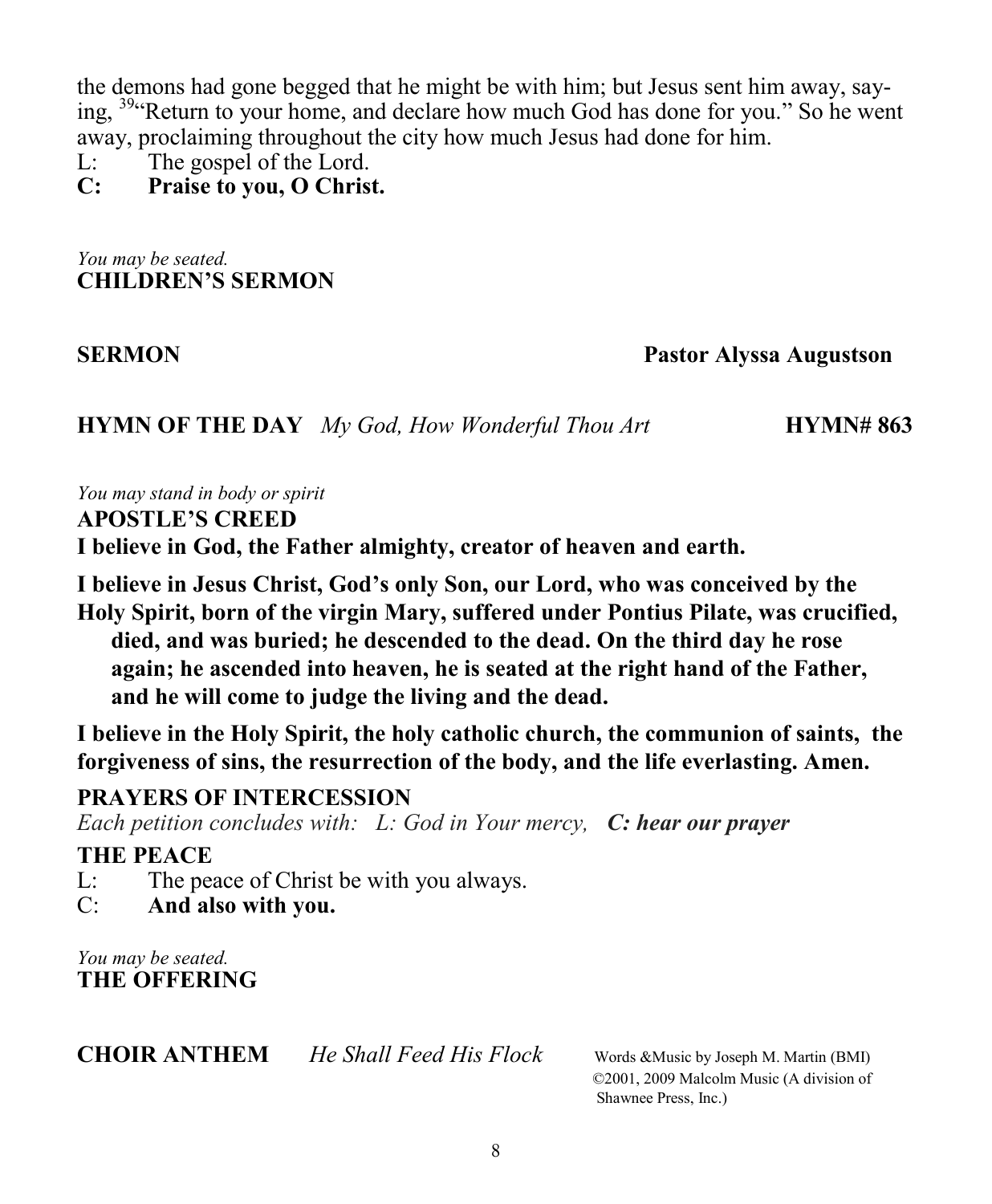the demons had gone begged that he might be with him; but Jesus sent him away, saying, <sup>39</sup>"Return to your home, and declare how much God has done for you." So he went away, proclaiming throughout the city how much Jesus had done for him.

L: The gospel of the Lord.

**C: Praise to you, O Christ.**

*You may be seated.* **CHILDREN'S SERMON**

**SERMON Pastor Alyssa Augustson**

**HYMN OF THE DAY** *My God, How Wonderful Thou Art* **HYMN# 863** 

*You may stand in body or spirit*

**APOSTLE'S CREED**

**I believe in God, the Father almighty, creator of heaven and earth.**

**I believe in Jesus Christ, God's only Son, our Lord, who was conceived by the Holy Spirit, born of the virgin Mary, suffered under Pontius Pilate, was crucified, died, and was buried; he descended to the dead. On the third day he rose again; he ascended into heaven, he is seated at the right hand of the Father, and he will come to judge the living and the dead.**

**I believe in the Holy Spirit, the holy catholic church, the communion of saints, the forgiveness of sins, the resurrection of the body, and the life everlasting. Amen.**

#### **PRAYERS OF INTERCESSION**

*Each petition concludes with: L: God in Your mercy, C: hear our prayer*

#### **THE PEACE**

- L: The peace of Christ be with you always.
- C: **And also with you.**

*You may be seated.* **THE OFFERING**

**CHOIR ANTHEM** *He Shall Feed His Flock* Words &Music by Joseph M. Martin (BMI)

 ©2001, 2009 Malcolm Music (A division of Shawnee Press, Inc.)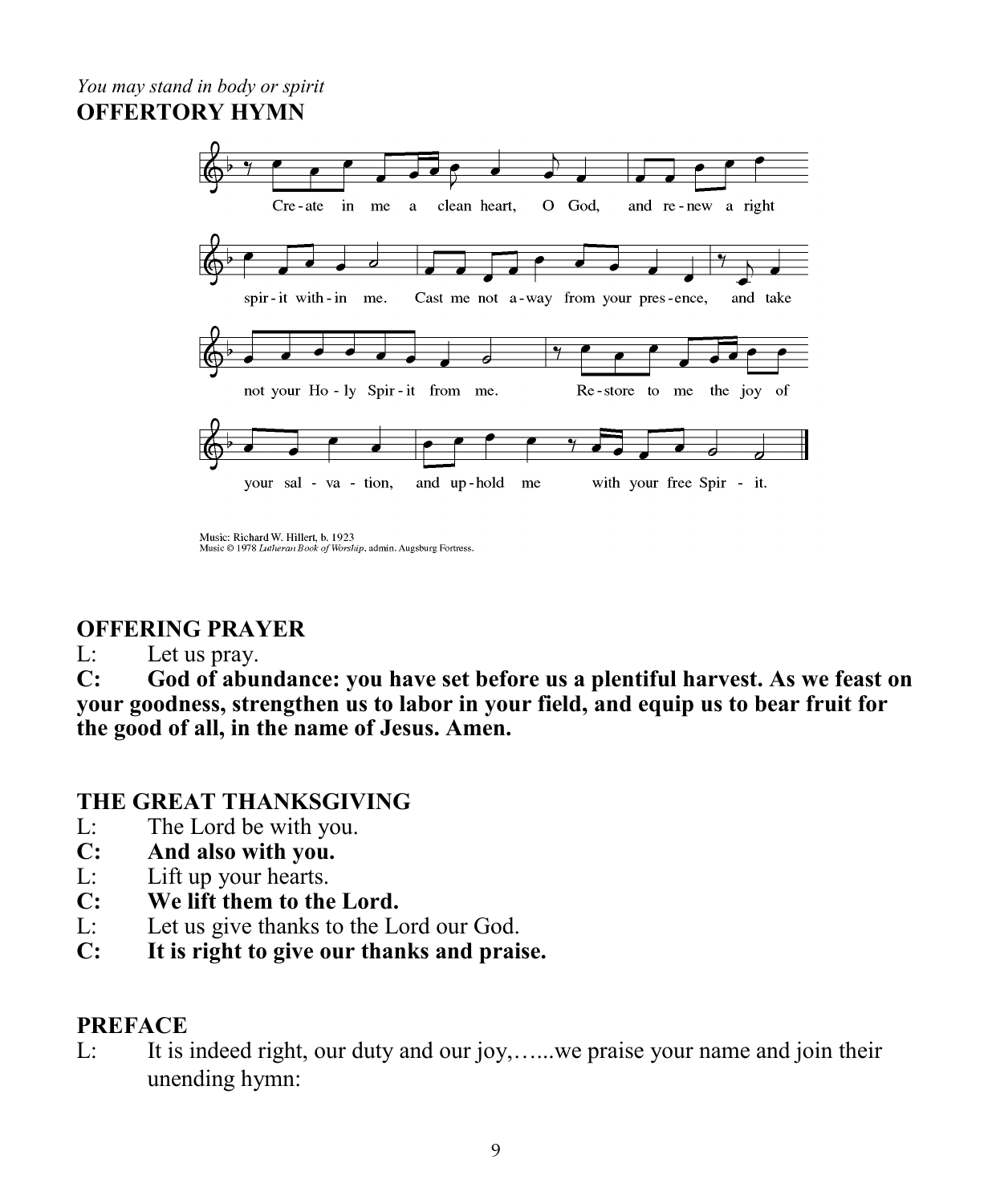#### *You may stand in body or spirit* **OFFERTORY HYMN**



Music: Richard W. Hillert, b. 1923 Music @ 1978 Lutheran Book of Worship, admin. Augsburg Fortress.

#### **OFFERING PRAYER**

#### L: Let us pray.

**C: God of abundance: you have set before us a plentiful harvest. As we feast on your goodness, strengthen us to labor in your field, and equip us to bear fruit for the good of all, in the name of Jesus. Amen.**

#### **THE GREAT THANKSGIVING**

- L: The Lord be with you.
- **C: And also with you.**
- L: Lift up your hearts.
- **C: We lift them to the Lord.**
- L: Let us give thanks to the Lord our God.
- **C: It is right to give our thanks and praise.**

#### **PREFACE**

L: It is indeed right, our duty and our joy,…...we praise your name and join their unending hymn: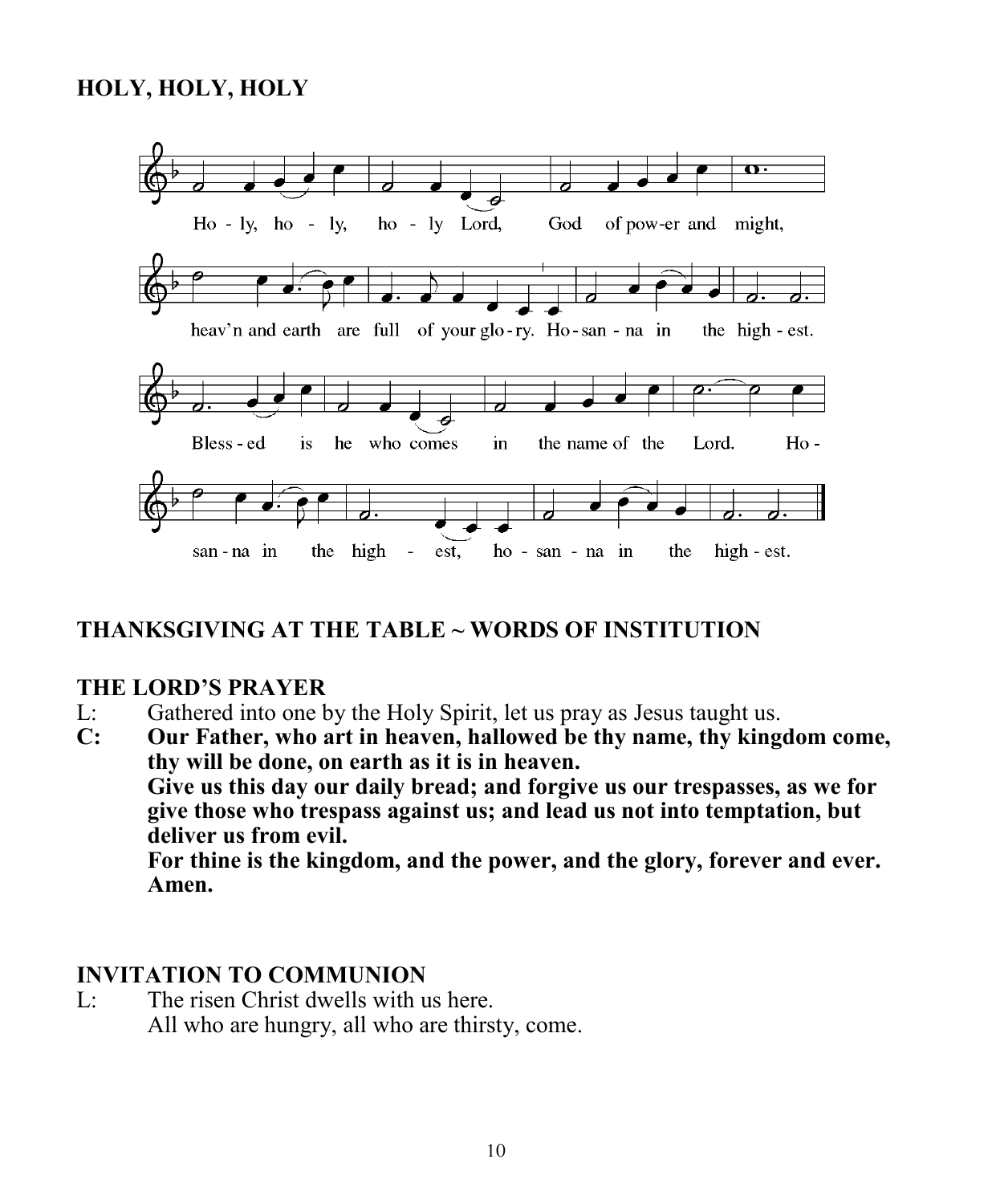#### **HOLY, HOLY, HOLY**



#### **THANKSGIVING AT THE TABLE ~ WORDS OF INSTITUTION**

#### **THE LORD'S PRAYER**

- L: Gathered into one by the Holy Spirit, let us pray as Jesus taught us.
- **C: Our Father, who art in heaven, hallowed be thy name, thy kingdom come, thy will be done, on earth as it is in heaven. Give us this day our daily bread; and forgive us our trespasses, as we for give those who trespass against us; and lead us not into temptation, but deliver us from evil. For thine is the kingdom, and the power, and the glory, forever and ever. Amen.**

#### **INVITATION TO COMMUNION**

L: The risen Christ dwells with us here. All who are hungry, all who are thirsty, come.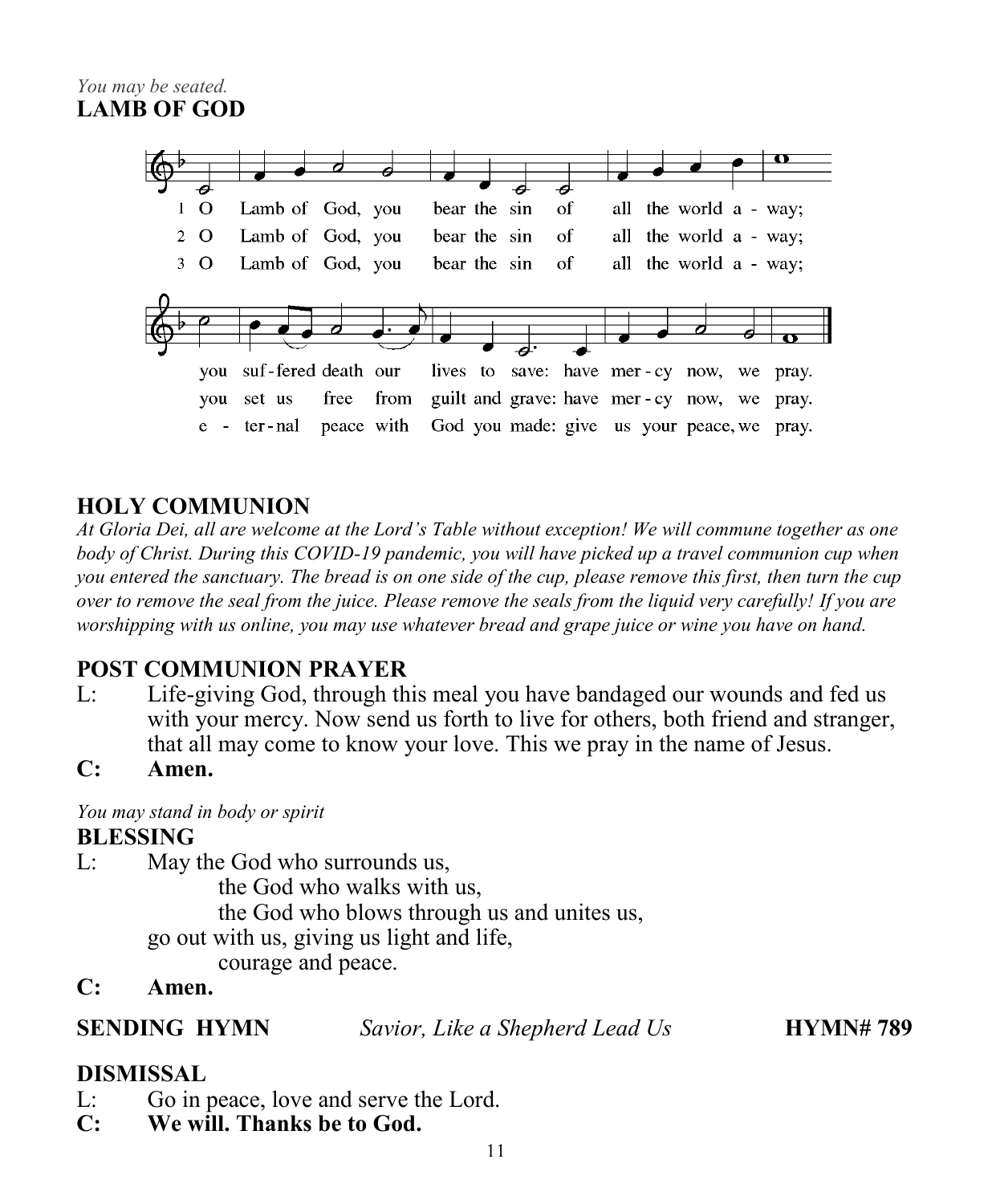

#### **HOLY COMMUNION**

*At Gloria Dei, all are welcome at the Lord's Table without exception! We will commune together as one body of Christ. During this COVID-19 pandemic, you will have picked up a travel communion cup when you entered the sanctuary. The bread is on one side of the cup, please remove this first, then turn the cup over to remove the seal from the juice. Please remove the seals from the liquid very carefully! If you are worshipping with us online, you may use whatever bread and grape juice or wine you have on hand.* 

#### **POST COMMUNION PRAYER**

- L: Life-giving God, through this meal you have bandaged our wounds and fed us with your mercy. Now send us forth to live for others, both friend and stranger, that all may come to know your love. This we pray in the name of Jesus.
- **C: Amen.**

*You may stand in body or spirit*

#### **BLESSING**

L: May the God who surrounds us,

the God who walks with us,

the God who blows through us and unites us,

go out with us, giving us light and life,

courage and peace.

**C: Amen.**

**SENDING HYMN** *Savior, Like a Shepherd Lead Us* **HYMN# 789**

#### **DISMISSAL**

- L: Go in peace, love and serve the Lord.
- **C: We will. Thanks be to God.**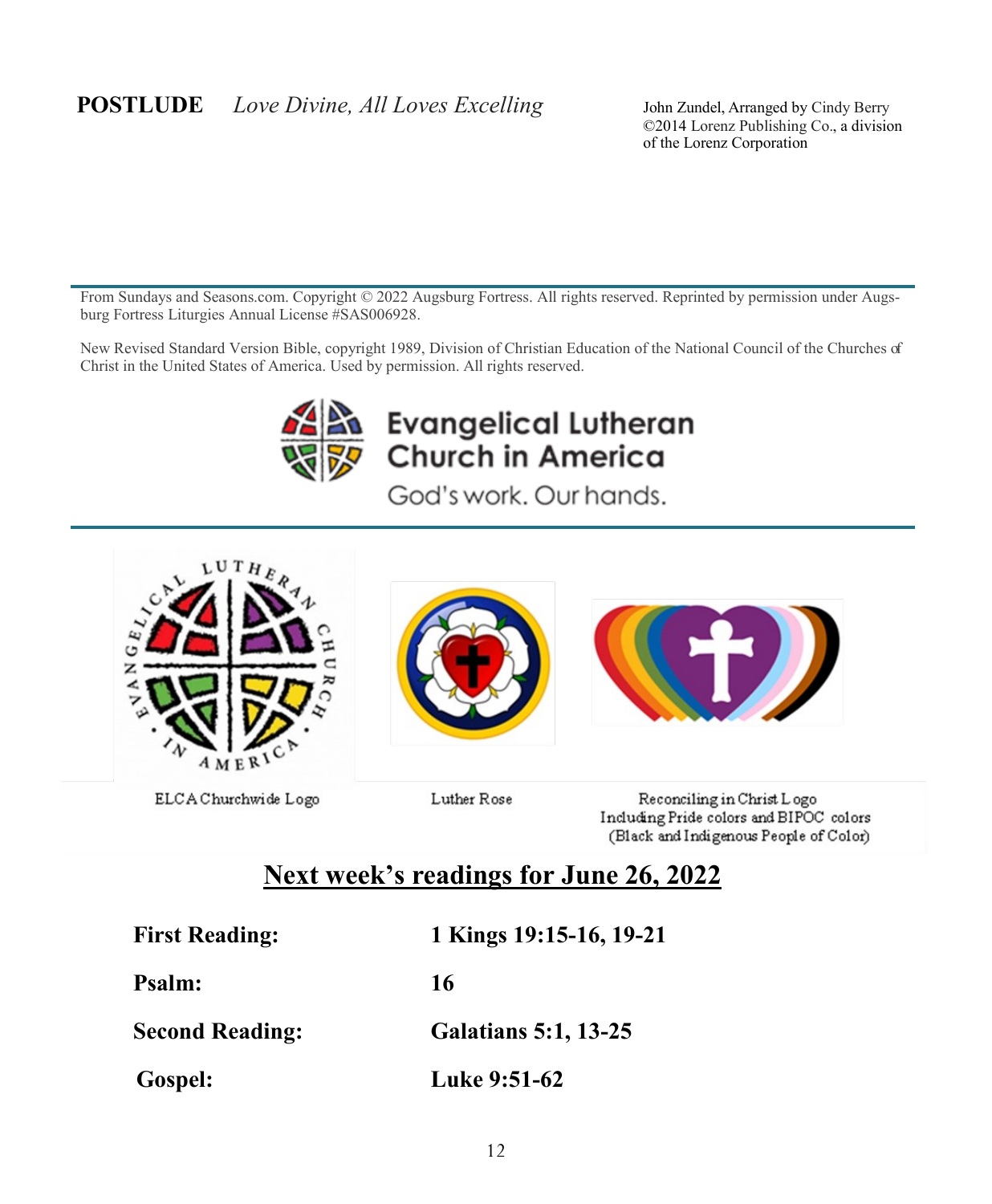#### **POSTLUDE** *Love Divine, All Loves Excelling* John Zundel, Arranged by Cindy Berry

©2014 Lorenz Publishing Co., a division of the Lorenz Corporation

From Sundays and Seasons.com. Copyright © 2022 Augsburg Fortress. All rights reserved. Reprinted by permission under Augsburg Fortress Liturgies Annual License #SAS006928.

New Revised Standard Version Bible, copyright 1989, Division of Christian Education of the National Council of the Churches of Christ in the United States of America. Used by permission. All rights reserved.



# **Evangelical Lutheran** Church in America

God's work. Our hands.



Including Pride colors and BIPOC colors (Black and Indigenous People of Color)

# **Next week's readings for June 26, 2022**

**First Reading: 1 Kings 19:15-16, 19-21**

**Psalm: 16**

**Second Reading: Galatians 5:1, 13-25**

 **Gospel: Luke 9:51-62**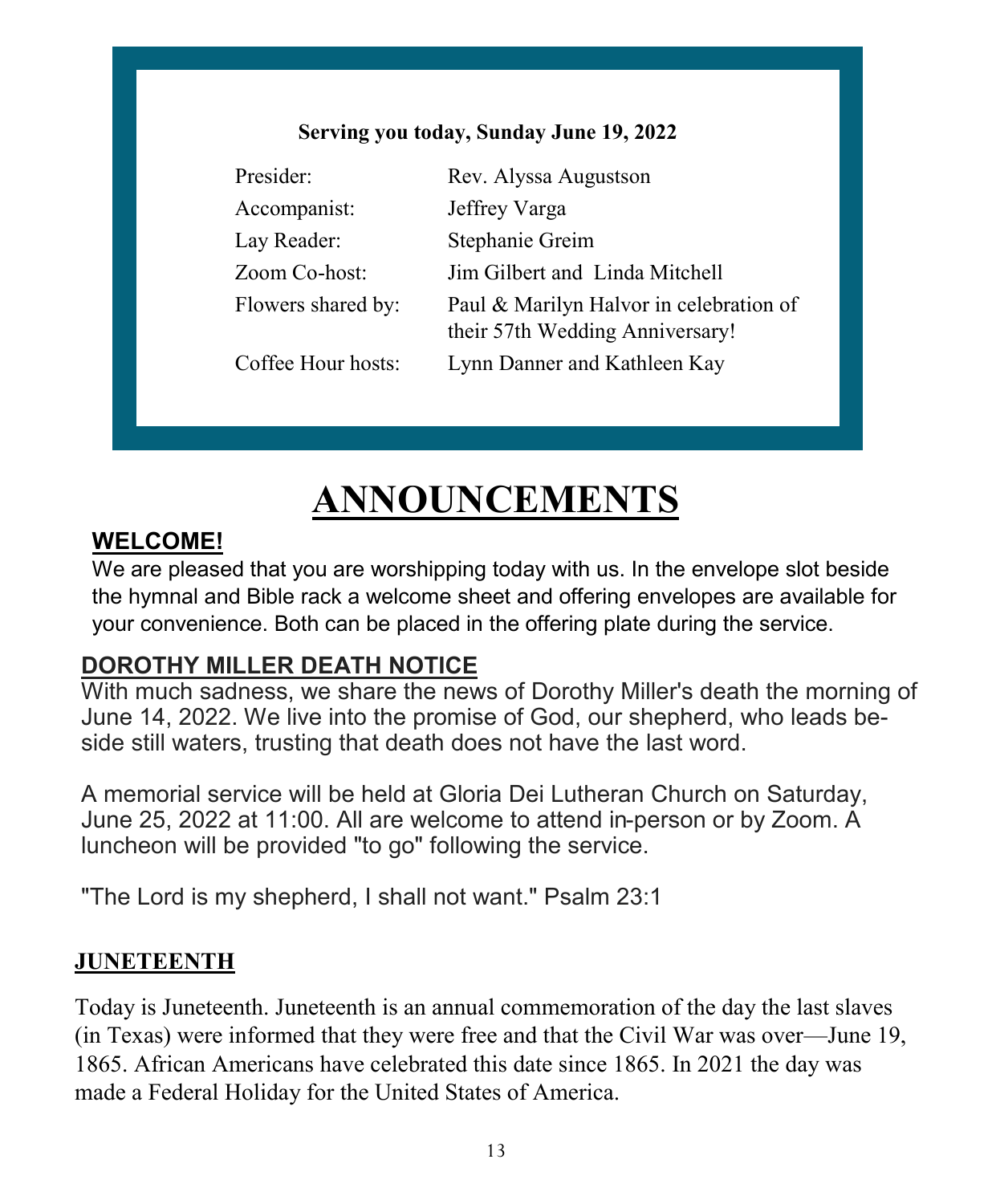#### **Serving you today, Sunday June 19, 2022**

| Presider:     |                    | Rev. Alyssa Augustson                                                      |
|---------------|--------------------|----------------------------------------------------------------------------|
| Accompanist:  |                    | Jeffrey Varga                                                              |
| Lay Reader:   |                    | Stephanie Greim                                                            |
| Zoom Co-host: |                    | Jim Gilbert and Linda Mitchell                                             |
|               | Flowers shared by: | Paul & Marilyn Halvor in celebration of<br>their 57th Wedding Anniversary! |
|               | Coffee Hour hosts: | Lynn Danner and Kathleen Kay                                               |

# **ANNOUNCEMENTS**

### **WELCOME!**

We are pleased that you are worshipping today with us. In the envelope slot beside the hymnal and Bible rack a welcome sheet and offering envelopes are available for your convenience. Both can be placed in the offering plate during the service.

#### **DOROTHY MILLER DEATH NOTICE**

With much sadness, we share the news of Dorothy Miller's death the morning of June 14, 2022. We live into the promise of God, our shepherd, who leads beside still waters, trusting that death does not have the last word.

A memorial service will be held at Gloria Dei Lutheran Church on Saturday, June 25, 2022 at 11:00. All are welcome to attend in-person or by Zoom. A luncheon will be provided "to go" following the service.

"The Lord is my shepherd, I shall not want." Psalm 23:1

#### **JUNETEENTH**

Today is Juneteenth. Juneteenth is an annual commemoration of the day the last slaves (in Texas) were informed that they were free and that the Civil War was over—June 19, 1865. African Americans have celebrated this date since 1865. In 2021 the day was made a Federal Holiday for the United States of America.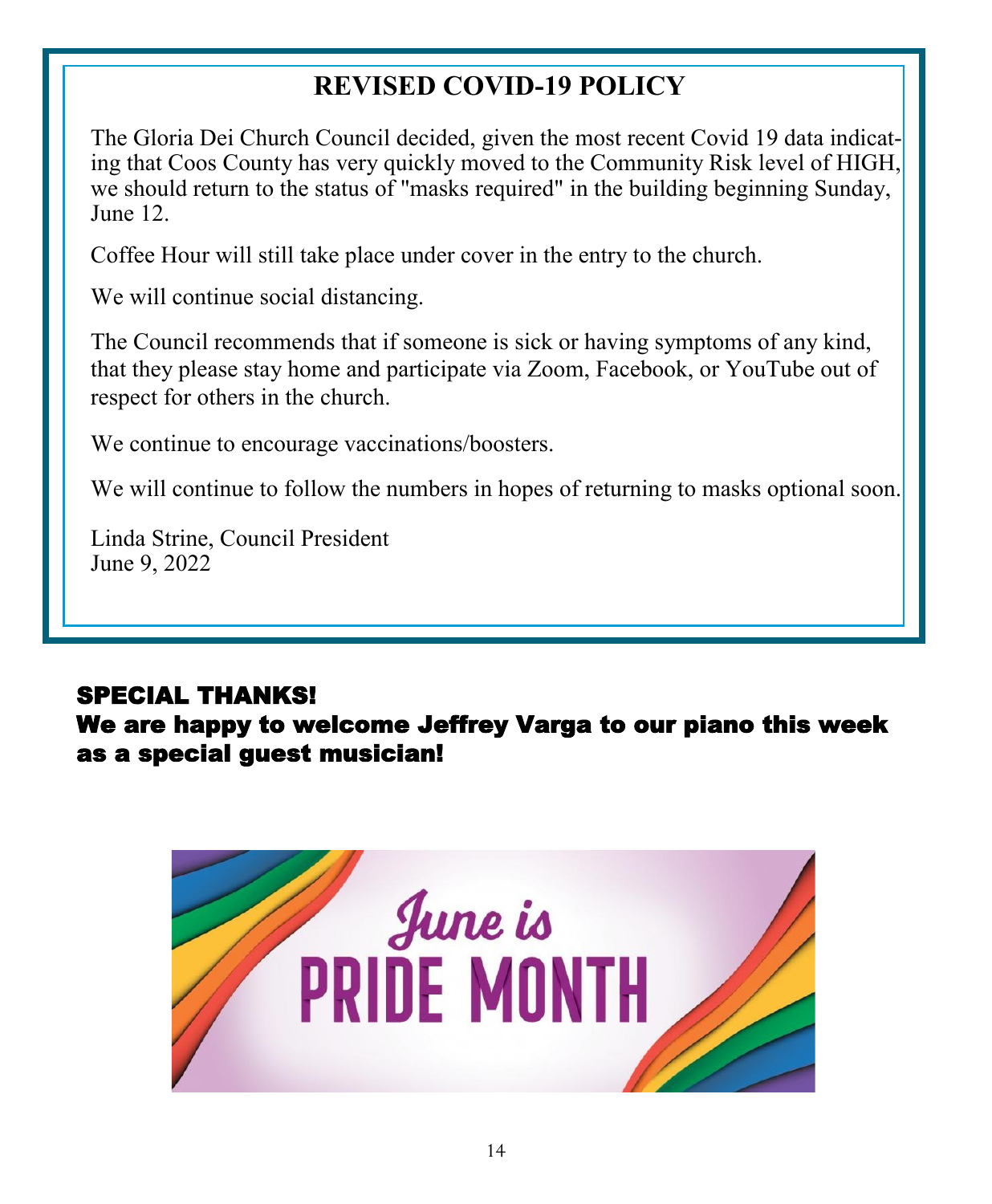# **REVISED COVID-19 POLICY**

The Gloria Dei Church Council decided, given the most recent Covid 19 data indicating that Coos County has very quickly moved to the Community Risk level of HIGH, we should return to the status of "masks required" in the building beginning Sunday, June 12.

Coffee Hour will still take place under cover in the entry to the church.

We will continue social distancing.

The Council recommends that if someone is sick or having symptoms of any kind, that they please stay home and participate via Zoom, Facebook, or YouTube out of respect for others in the church.

We continue to encourage vaccinations/boosters.

We will continue to follow the numbers in hopes of returning to masks optional soon.

Linda Strine, Council President June 9, 2022

# SPECIAL THANKS!

We are happy to welcome Jeffrey Varga to our piano this week as a special guest musician!

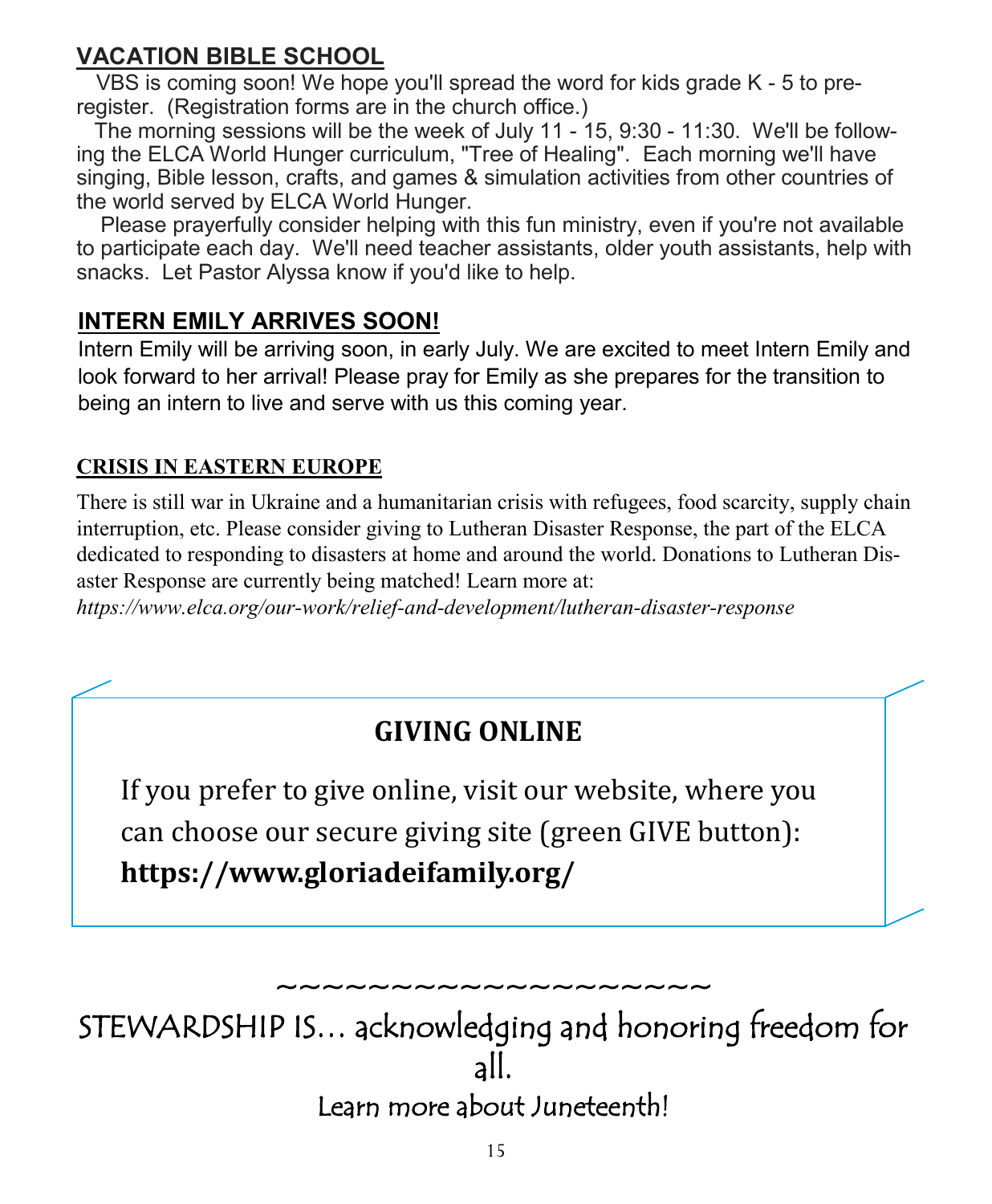# **VACATION BIBLE SCHOOL**

VBS is coming soon! We hope you'll spread the word for kids grade K - 5 to preregister. (Registration forms are in the church office.)

The morning sessions will be the week of July 11 - 15, 9:30 - 11:30. We'll be following the ELCA World Hunger curriculum, "Tree of Healing". Each morning we'll have singing, Bible lesson, crafts, and games & simulation activities from other countries of the world served by ELCA World Hunger.

Please prayerfully consider helping with this fun ministry, even if you're not available to participate each day. We'll need teacher assistants, older youth assistants, help with snacks. Let Pastor Alyssa know if you'd like to help.

### **INTERN EMILY ARRIVES SOON!**

Intern Emily will be arriving soon, in early July. We are excited to meet Intern Emily and look forward to her arrival! Please pray for Emily as she prepares for the transition to being an intern to live and serve with us this coming year.

#### **CRISIS IN EASTERN EUROPE**

There is still war in Ukraine and a humanitarian crisis with refugees, food scarcity, supply chain interruption, etc. Please consider giving to Lutheran Disaster Response, the part of the ELCA dedicated to responding to disasters at home and around the world. Donations to Lutheran Disaster Response are currently being matched! Learn more at:

*https://www.elca.org/our-work/relief-and-development/lutheran-disaster-response*

# **GIVING ONLINE**

If you prefer to give online, visit our website, where you can choose our secure giving site (green GIVE button): **https://www.gloriadeifamily.org/**

~~~~~~~~~~~~~~~~ STEWARDSHIP IS… acknowledging and honoring freedom for all.

Learn more about Juneteenth!